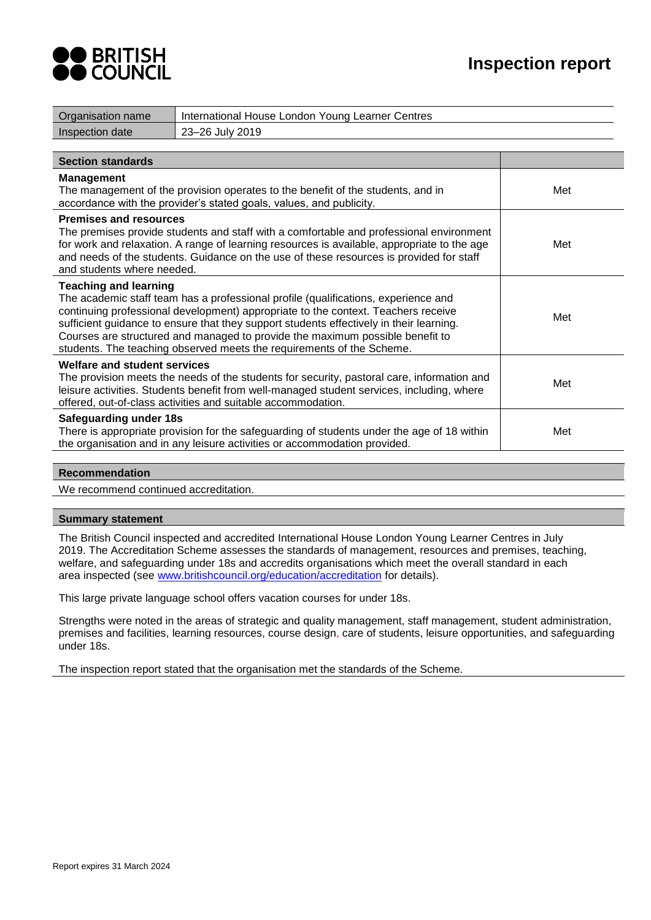



| Organisation name                                           | International House London Young Learner Centres                                                                                                                                                                                                                                                                                                                                                                             |     |
|-------------------------------------------------------------|------------------------------------------------------------------------------------------------------------------------------------------------------------------------------------------------------------------------------------------------------------------------------------------------------------------------------------------------------------------------------------------------------------------------------|-----|
| Inspection date                                             | 23-26 July 2019                                                                                                                                                                                                                                                                                                                                                                                                              |     |
|                                                             |                                                                                                                                                                                                                                                                                                                                                                                                                              |     |
| <b>Section standards</b>                                    |                                                                                                                                                                                                                                                                                                                                                                                                                              |     |
| <b>Management</b>                                           | The management of the provision operates to the benefit of the students, and in<br>accordance with the provider's stated goals, values, and publicity.                                                                                                                                                                                                                                                                       | Met |
| <b>Premises and resources</b><br>and students where needed. | The premises provide students and staff with a comfortable and professional environment<br>for work and relaxation. A range of learning resources is available, appropriate to the age<br>and needs of the students. Guidance on the use of these resources is provided for staff                                                                                                                                            | Met |
| <b>Teaching and learning</b>                                | The academic staff team has a professional profile (qualifications, experience and<br>continuing professional development) appropriate to the context. Teachers receive<br>sufficient guidance to ensure that they support students effectively in their learning.<br>Courses are structured and managed to provide the maximum possible benefit to<br>students. The teaching observed meets the requirements of the Scheme. | Met |
| <b>Welfare and student services</b>                         | The provision meets the needs of the students for security, pastoral care, information and<br>leisure activities. Students benefit from well-managed student services, including, where<br>offered, out-of-class activities and suitable accommodation.                                                                                                                                                                      | Met |
| <b>Safeguarding under 18s</b>                               | There is appropriate provision for the safeguarding of students under the age of 18 within<br>the organisation and in any leisure activities or accommodation provided.                                                                                                                                                                                                                                                      | Met |

## **Recommendation**

We recommend continued accreditation.

#### **Summary statement**

The British Council inspected and accredited International House London Young Learner Centres in July 2019. The Accreditation Scheme assesses the standards of management, resources and premises, teaching, welfare, and safeguarding under 18s and accredits organisations which meet the overall standard in each area inspected (see www.britishcouncil.org/education/accreditation for details).

This large private language school offers vacation courses for under 18s.

Strengths were noted in the areas of strategic and quality management, staff management, student administration, premises and facilities, learning resources, course design, care of students, leisure opportunities, and safeguarding under 18s.

The inspection report stated that the organisation met the standards of the Scheme.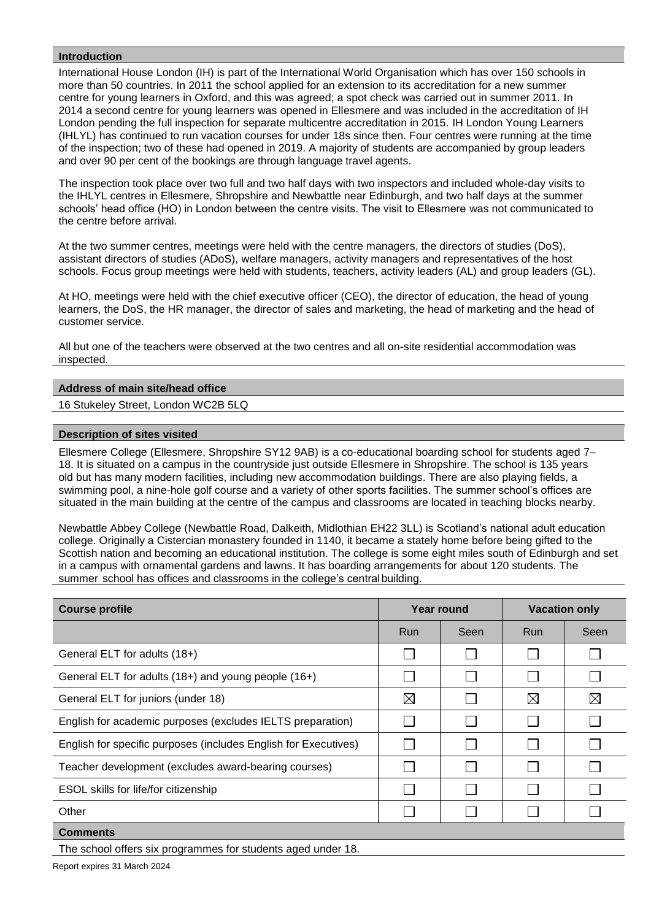## **Introduction**

International House London (IH) is part of the International World Organisation which has over 150 schools in more than 50 countries. In 2011 the school applied for an extension to its accreditation for a new summer centre for young learners in Oxford, and this was agreed; a spot check was carried out in summer 2011. In 2014 a second centre for young learners was opened in Ellesmere and was included in the accreditation of IH London pending the full inspection for separate multicentre accreditation in 2015. IH London Young Learners (IHLYL) has continued to run vacation courses for under 18s since then. Four centres were running at the time of the inspection; two of these had opened in 2019. A majority of students are accompanied by group leaders and over 90 per cent of the bookings are through language travel agents.

The inspection took place over two full and two half days with two inspectors and included whole-day visits to the IHLYL centres in Ellesmere, Shropshire and Newbattle near Edinburgh, and two half days at the summer schools' head office (HO) in London between the centre visits. The visit to Ellesmere was not communicated to the centre before arrival.

At the two summer centres, meetings were held with the centre managers, the directors of studies (DoS), assistant directors of studies (ADoS), welfare managers, activity managers and representatives of the host schools. Focus group meetings were held with students, teachers, activity leaders (AL) and group leaders (GL).

At HO, meetings were held with the chief executive officer (CEO), the director of education, the head of young learners, the DoS, the HR manager, the director of sales and marketing, the head of marketing and the head of customer service.

All but one of the teachers were observed at the two centres and all on-site residential accommodation was inspected.

## **Address of main site/head office**

16 Stukeley Street, London WC2B 5LQ

## **Description of sites visited**

Ellesmere College (Ellesmere, Shropshire SY12 9AB) is a co-educational boarding school for students aged 7– 18. It is situated on a campus in the countryside just outside Ellesmere in Shropshire. The school is 135 years old but has many modern facilities, including new accommodation buildings. There are also playing fields, a swimming pool, a nine-hole golf course and a variety of other sports facilities. The summer school's offices are situated in the main building at the centre of the campus and classrooms are located in teaching blocks nearby.

Newbattle Abbey College (Newbattle Road, Dalkeith, Midlothian EH22 3LL) is Scotland's national adult education college. Originally a Cistercian monastery founded in 1140, it became a stately home before being gifted to the Scottish nation and becoming an educational institution. The college is some eight miles south of Edinburgh and set in a campus with ornamental gardens and lawns. It has boarding arrangements for about 120 students. The summer school has offices and classrooms in the college's central building.

| <b>Course profile</b>                                           | Year round  |              | <b>Vacation only</b> |      |
|-----------------------------------------------------------------|-------------|--------------|----------------------|------|
|                                                                 | Run         | Seen         | <b>Run</b>           | Seen |
| General ELT for adults (18+)                                    |             |              |                      |      |
| General ELT for adults (18+) and young people (16+)             |             |              |                      |      |
| General ELT for juniors (under 18)                              | $\boxtimes$ |              | $\boxtimes$          | ⊠    |
| English for academic purposes (excludes IELTS preparation)      |             | $\mathbf{I}$ |                      |      |
| English for specific purposes (includes English for Executives) |             |              |                      |      |
| Teacher development (excludes award-bearing courses)            |             |              |                      |      |
| ESOL skills for life/for citizenship                            |             |              |                      |      |
| Other                                                           |             |              |                      |      |
| <b>Comments</b>                                                 |             |              |                      |      |
| The school offers six programmes for students aged under 18.    |             |              |                      |      |

Report expires 31 March 2024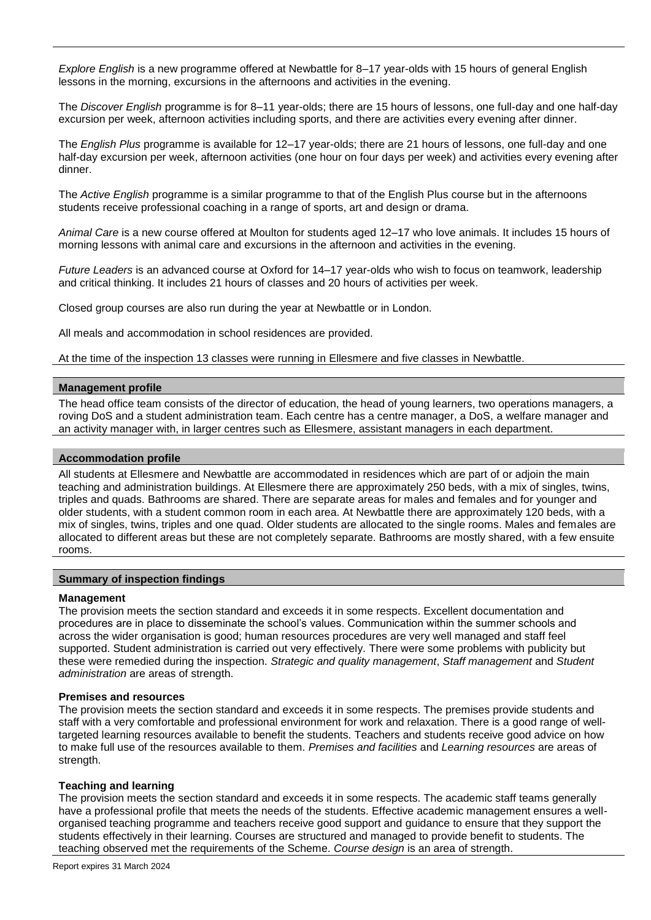*Explore English* is a new programme offered at Newbattle for 8–17 year-olds with 15 hours of general English lessons in the morning, excursions in the afternoons and activities in the evening.

The *Discover English* programme is for 8–11 year-olds; there are 15 hours of lessons, one full-day and one half-day excursion per week, afternoon activities including sports, and there are activities every evening after dinner.

The *English Plus* programme is available for 12–17 year-olds; there are 21 hours of lessons, one full-day and one half-day excursion per week, afternoon activities (one hour on four days per week) and activities every evening after dinner.

The *Active English* programme is a similar programme to that of the English Plus course but in the afternoons students receive professional coaching in a range of sports, art and design or drama.

*Animal Care* is a new course offered at Moulton for students aged 12–17 who love animals. It includes 15 hours of morning lessons with animal care and excursions in the afternoon and activities in the evening.

*Future Leaders* is an advanced course at Oxford for 14–17 year-olds who wish to focus on teamwork, leadership and critical thinking. It includes 21 hours of classes and 20 hours of activities per week.

Closed group courses are also run during the year at Newbattle or in London.

All meals and accommodation in school residences are provided.

At the time of the inspection 13 classes were running in Ellesmere and five classes in Newbattle.

## **Management profile**

The head office team consists of the director of education, the head of young learners, two operations managers, a roving DoS and a student administration team. Each centre has a centre manager, a DoS, a welfare manager and an activity manager with, in larger centres such as Ellesmere, assistant managers in each department.

#### **Accommodation profile**

All students at Ellesmere and Newbattle are accommodated in residences which are part of or adjoin the main teaching and administration buildings. At Ellesmere there are approximately 250 beds, with a mix of singles, twins, triples and quads. Bathrooms are shared. There are separate areas for males and females and for younger and older students, with a student common room in each area. At Newbattle there are approximately 120 beds, with a mix of singles, twins, triples and one quad. Older students are allocated to the single rooms. Males and females are allocated to different areas but these are not completely separate. Bathrooms are mostly shared, with a few ensuite rooms.

#### **Summary of inspection findings**

#### **Management**

The provision meets the section standard and exceeds it in some respects. Excellent documentation and procedures are in place to disseminate the school's values. Communication within the summer schools and across the wider organisation is good; human resources procedures are very well managed and staff feel supported. Student administration is carried out very effectively. There were some problems with publicity but these were remedied during the inspection. *Strategic and quality management*, *Staff management* and *Student administration* are areas of strength.

## **Premises and resources**

The provision meets the section standard and exceeds it in some respects. The premises provide students and staff with a very comfortable and professional environment for work and relaxation. There is a good range of welltargeted learning resources available to benefit the students. Teachers and students receive good advice on how to make full use of the resources available to them. *Premises and facilities* and *Learning resources* are areas of strength.

## **Teaching and learning**

The provision meets the section standard and exceeds it in some respects. The academic staff teams generally have a professional profile that meets the needs of the students. Effective academic management ensures a wellorganised teaching programme and teachers receive good support and guidance to ensure that they support the students effectively in their learning. Courses are structured and managed to provide benefit to students. The teaching observed met the requirements of the Scheme. *Course design* is an area of strength.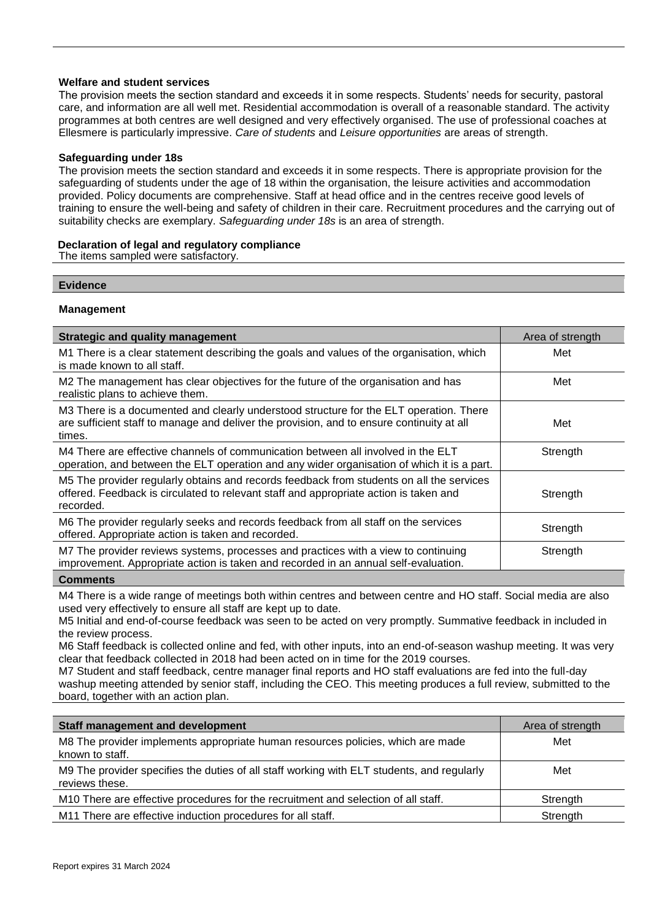## **Welfare and student services**

The provision meets the section standard and exceeds it in some respects. Students' needs for security, pastoral care, and information are all well met. Residential accommodation is overall of a reasonable standard. The activity programmes at both centres are well designed and very effectively organised. The use of professional coaches at Ellesmere is particularly impressive. *Care of students* and *Leisure opportunities* are areas of strength.

## **Safeguarding under 18s**

The provision meets the section standard and exceeds it in some respects. There is appropriate provision for the safeguarding of students under the age of 18 within the organisation, the leisure activities and accommodation provided. Policy documents are comprehensive. Staff at head office and in the centres receive good levels of training to ensure the well-being and safety of children in their care. Recruitment procedures and the carrying out of suitability checks are exemplary. *Safeguarding under 18s* is an area of strength.

## **Declaration of legal and regulatory compliance**

The items sampled were satisfactory.

## **Evidence**

## **Management**

| <b>Strategic and quality management</b>                                                                                                                                                        | Area of strength |
|------------------------------------------------------------------------------------------------------------------------------------------------------------------------------------------------|------------------|
| M1 There is a clear statement describing the goals and values of the organisation, which<br>is made known to all staff.                                                                        | Met              |
| M2 The management has clear objectives for the future of the organisation and has<br>realistic plans to achieve them.                                                                          | Met              |
| M3 There is a documented and clearly understood structure for the ELT operation. There<br>are sufficient staff to manage and deliver the provision, and to ensure continuity at all<br>times.  | Met              |
| M4 There are effective channels of communication between all involved in the ELT<br>operation, and between the ELT operation and any wider organisation of which it is a part.                 | Strength         |
| M5 The provider regularly obtains and records feedback from students on all the services<br>offered. Feedback is circulated to relevant staff and appropriate action is taken and<br>recorded. | Strength         |
| M6 The provider regularly seeks and records feedback from all staff on the services<br>offered. Appropriate action is taken and recorded.                                                      | Strength         |
| M7 The provider reviews systems, processes and practices with a view to continuing<br>improvement. Appropriate action is taken and recorded in an annual self-evaluation.                      | Strength         |
| Commonte                                                                                                                                                                                       |                  |

## **Comments**

M4 There is a wide range of meetings both within centres and between centre and HO staff. Social media are also used very effectively to ensure all staff are kept up to date.

M5 Initial and end-of-course feedback was seen to be acted on very promptly. Summative feedback in included in the review process.

M6 Staff feedback is collected online and fed, with other inputs, into an end-of-season washup meeting. It was very clear that feedback collected in 2018 had been acted on in time for the 2019 courses.

M7 Student and staff feedback, centre manager final reports and HO staff evaluations are fed into the full-day washup meeting attended by senior staff, including the CEO. This meeting produces a full review, submitted to the board, together with an action plan.

| <b>Staff management and development</b>                                                                      | Area of strength |
|--------------------------------------------------------------------------------------------------------------|------------------|
| M8 The provider implements appropriate human resources policies, which are made<br>known to staff.           | Met              |
| M9 The provider specifies the duties of all staff working with ELT students, and regularly<br>reviews these. | Met              |
| M10 There are effective procedures for the recruitment and selection of all staff.                           | Strength         |
| M11 There are effective induction procedures for all staff.                                                  | Strength         |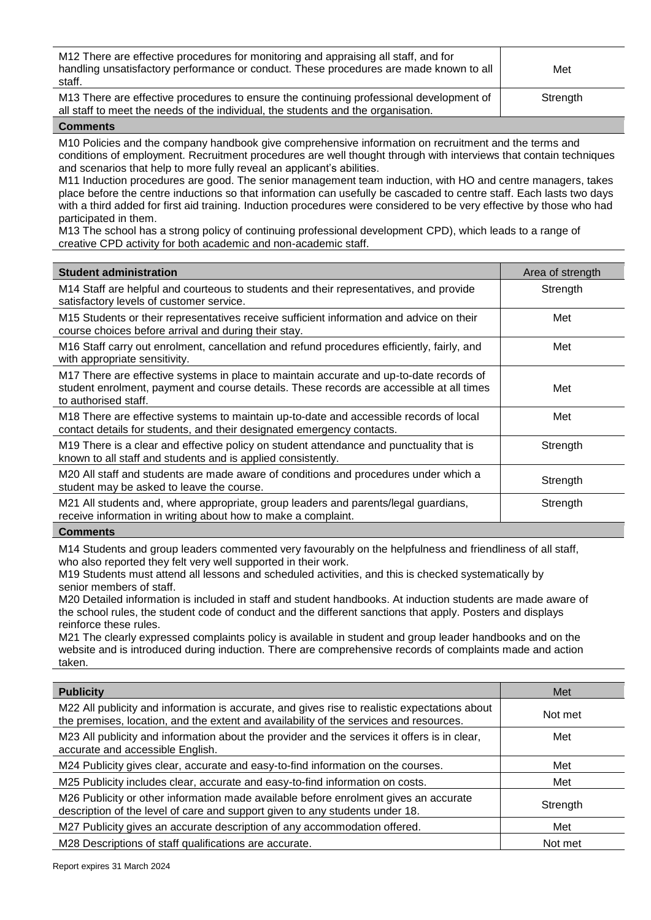| M12 There are effective procedures for monitoring and appraising all staff, and for<br>handling unsatisfactory performance or conduct. These procedures are made known to all<br>staff. | Met      |
|-----------------------------------------------------------------------------------------------------------------------------------------------------------------------------------------|----------|
| M13 There are effective procedures to ensure the continuing professional development of<br>all staff to meet the needs of the individual, the students and the organisation.            | Strength |

M10 Policies and the company handbook give comprehensive information on recruitment and the terms and conditions of employment. Recruitment procedures are well thought through with interviews that contain techniques and scenarios that help to more fully reveal an applicant's abilities.

M11 Induction procedures are good. The senior management team induction, with HO and centre managers, takes place before the centre inductions so that information can usefully be cascaded to centre staff. Each lasts two days with a third added for first aid training. Induction procedures were considered to be very effective by those who had participated in them.

M13 The school has a strong policy of continuing professional development CPD), which leads to a range of creative CPD activity for both academic and non-academic staff.

| <b>Student administration</b>                                                                                                                                                                               | Area of strength |
|-------------------------------------------------------------------------------------------------------------------------------------------------------------------------------------------------------------|------------------|
| M14 Staff are helpful and courteous to students and their representatives, and provide<br>satisfactory levels of customer service.                                                                          | Strength         |
| M15 Students or their representatives receive sufficient information and advice on their<br>course choices before arrival and during their stay.                                                            | Met              |
| M16 Staff carry out enrolment, cancellation and refund procedures efficiently, fairly, and<br>with appropriate sensitivity.                                                                                 | Met              |
| M17 There are effective systems in place to maintain accurate and up-to-date records of<br>student enrolment, payment and course details. These records are accessible at all times<br>to authorised staff. | Met              |
| M18 There are effective systems to maintain up-to-date and accessible records of local<br>contact details for students, and their designated emergency contacts.                                            | Met              |
| M19 There is a clear and effective policy on student attendance and punctuality that is<br>known to all staff and students and is applied consistently.                                                     | Strength         |
| M20 All staff and students are made aware of conditions and procedures under which a<br>student may be asked to leave the course.                                                                           | Strength         |
| M21 All students and, where appropriate, group leaders and parents/legal guardians,<br>receive information in writing about how to make a complaint.                                                        | Strength         |

#### **Comments**

M14 Students and group leaders commented very favourably on the helpfulness and friendliness of all staff, who also reported they felt very well supported in their work.

M19 Students must attend all lessons and scheduled activities, and this is checked systematically by senior members of staff.

M20 Detailed information is included in staff and student handbooks. At induction students are made aware of the school rules, the student code of conduct and the different sanctions that apply. Posters and displays reinforce these rules.

M21 The clearly expressed complaints policy is available in student and group leader handbooks and on the website and is introduced during induction. There are comprehensive records of complaints made and action taken.

| <b>Publicity</b>                                                                                                                                                                        | Met      |
|-----------------------------------------------------------------------------------------------------------------------------------------------------------------------------------------|----------|
| M22 All publicity and information is accurate, and gives rise to realistic expectations about<br>the premises, location, and the extent and availability of the services and resources. | Not met  |
| M23 All publicity and information about the provider and the services it offers is in clear,<br>accurate and accessible English.                                                        | Met      |
| M24 Publicity gives clear, accurate and easy-to-find information on the courses.                                                                                                        | Met      |
| M25 Publicity includes clear, accurate and easy-to-find information on costs.                                                                                                           | Met      |
| M26 Publicity or other information made available before enrolment gives an accurate<br>description of the level of care and support given to any students under 18.                    | Strength |
| M27 Publicity gives an accurate description of any accommodation offered.                                                                                                               | Met      |
| M28 Descriptions of staff qualifications are accurate.                                                                                                                                  | Not met  |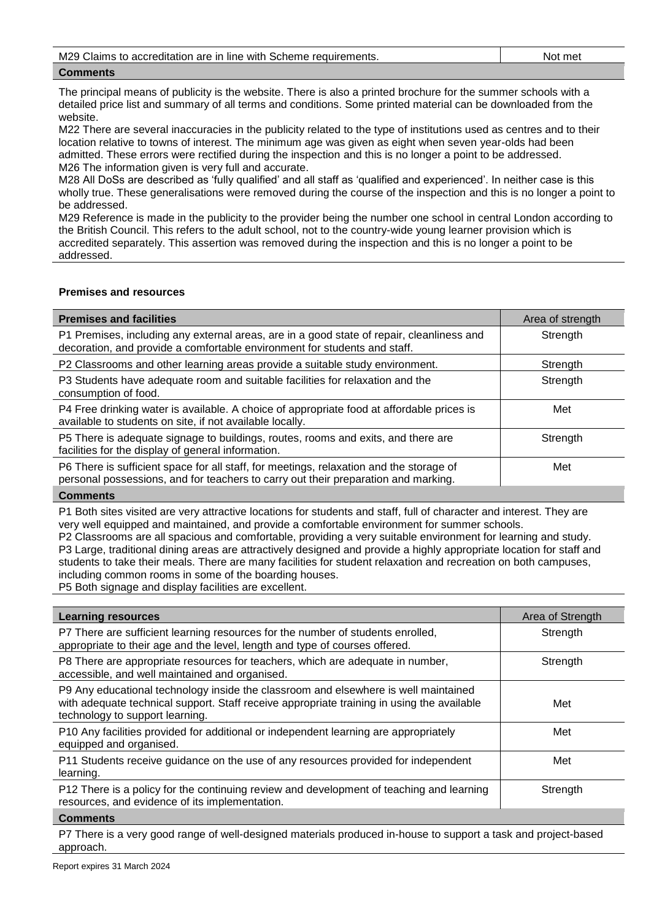M29 Claims to accreditation are in line with Scheme requirements. Not met

## **Comments**

The principal means of publicity is the website. There is also a printed brochure for the summer schools with a detailed price list and summary of all terms and conditions. Some printed material can be downloaded from the website.

M22 There are several inaccuracies in the publicity related to the type of institutions used as centres and to their location relative to towns of interest. The minimum age was given as eight when seven year-olds had been admitted. These errors were rectified during the inspection and this is no longer a point to be addressed. M26 The information given is very full and accurate.

M28 All DoSs are described as 'fully qualified' and all staff as 'qualified and experienced'. In neither case is this wholly true. These generalisations were removed during the course of the inspection and this is no longer a point to be addressed.

M29 Reference is made in the publicity to the provider being the number one school in central London according to the British Council. This refers to the adult school, not to the country-wide young learner provision which is accredited separately. This assertion was removed during the inspection and this is no longer a point to be addressed.

## **Premises and resources**

| <b>Premises and facilities</b>                                                                                                                                                | Area of strength |
|-------------------------------------------------------------------------------------------------------------------------------------------------------------------------------|------------------|
| P1 Premises, including any external areas, are in a good state of repair, cleanliness and<br>decoration, and provide a comfortable environment for students and staff.        | Strength         |
| P2 Classrooms and other learning areas provide a suitable study environment.                                                                                                  | Strength         |
| P3 Students have adequate room and suitable facilities for relaxation and the<br>consumption of food.                                                                         | Strength         |
| P4 Free drinking water is available. A choice of appropriate food at affordable prices is<br>available to students on site, if not available locally.                         | Met              |
| P5 There is adequate signage to buildings, routes, rooms and exits, and there are<br>facilities for the display of general information.                                       | Strength         |
| P6 There is sufficient space for all staff, for meetings, relaxation and the storage of<br>personal possessions, and for teachers to carry out their preparation and marking. | Met              |
|                                                                                                                                                                               |                  |

#### **Comments**

P1 Both sites visited are very attractive locations for students and staff, full of character and interest. They are very well equipped and maintained, and provide a comfortable environment for summer schools.

P2 Classrooms are all spacious and comfortable, providing a very suitable environment for learning and study. P3 Large, traditional dining areas are attractively designed and provide a highly appropriate location for staff and students to take their meals. There are many facilities for student relaxation and recreation on both campuses, including common rooms in some of the boarding houses.

P5 Both signage and display facilities are excellent.

| <b>Learning resources</b>                                                                                                                                                                                            | Area of Strength |
|----------------------------------------------------------------------------------------------------------------------------------------------------------------------------------------------------------------------|------------------|
| P7 There are sufficient learning resources for the number of students enrolled,<br>appropriate to their age and the level, length and type of courses offered.                                                       | Strength         |
| P8 There are appropriate resources for teachers, which are adequate in number,<br>accessible, and well maintained and organised.                                                                                     | Strength         |
| P9 Any educational technology inside the classroom and elsewhere is well maintained<br>with adequate technical support. Staff receive appropriate training in using the available<br>technology to support learning. | Met              |
| P10 Any facilities provided for additional or independent learning are appropriately<br>equipped and organised.                                                                                                      | Met              |
| P11 Students receive guidance on the use of any resources provided for independent<br>learning.                                                                                                                      | Met              |
| P12 There is a policy for the continuing review and development of teaching and learning<br>resources, and evidence of its implementation.                                                                           | Strength         |
| $P = 1$                                                                                                                                                                                                              |                  |

#### **Comments**

P7 There is a very good range of well-designed materials produced in-house to support a task and project-based approach.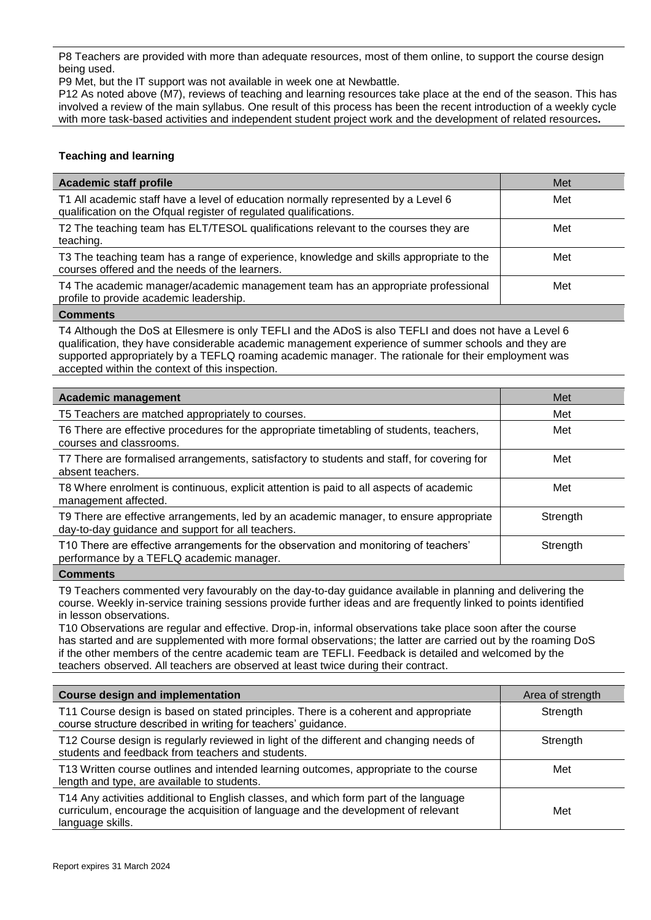P8 Teachers are provided with more than adequate resources, most of them online, to support the course design being used.

P9 Met, but the IT support was not available in week one at Newbattle.

P12 As noted above (M7), reviews of teaching and learning resources take place at the end of the season. This has involved a review of the main syllabus. One result of this process has been the recent introduction of a weekly cycle with more task-based activities and independent student project work and the development of related resources**.**

## **Teaching and learning**

| <b>Academic staff profile</b>                                                                                                                          | Met |
|--------------------------------------------------------------------------------------------------------------------------------------------------------|-----|
| T1 All academic staff have a level of education normally represented by a Level 6<br>qualification on the Ofqual register of regulated qualifications. | Met |
| T2 The teaching team has ELT/TESOL qualifications relevant to the courses they are<br>teaching.                                                        | Met |
| T3 The teaching team has a range of experience, knowledge and skills appropriate to the<br>courses offered and the needs of the learners.              | Met |
| T4 The academic manager/academic management team has an appropriate professional<br>profile to provide academic leadership.                            | Met |
|                                                                                                                                                        |     |

#### **Comments**

T4 Although the DoS at Ellesmere is only TEFLI and the ADoS is also TEFLI and does not have a Level 6 qualification, they have considerable academic management experience of summer schools and they are supported appropriately by a TEFLQ roaming academic manager. The rationale for their employment was accepted within the context of this inspection.

| <b>Academic management</b>                                                                                                                  | Met      |
|---------------------------------------------------------------------------------------------------------------------------------------------|----------|
| T5 Teachers are matched appropriately to courses.                                                                                           | Met      |
| T6 There are effective procedures for the appropriate timetabling of students, teachers,<br>courses and classrooms.                         | Met      |
| T7 There are formalised arrangements, satisfactory to students and staff, for covering for<br>absent teachers.                              | Met      |
| T8 Where enrolment is continuous, explicit attention is paid to all aspects of academic<br>management affected.                             | Met      |
| T9 There are effective arrangements, led by an academic manager, to ensure appropriate<br>day-to-day guidance and support for all teachers. | Strength |
| T10 There are effective arrangements for the observation and monitoring of teachers'<br>performance by a TEFLQ academic manager.            | Strength |
|                                                                                                                                             |          |

#### **Comments**

T9 Teachers commented very favourably on the day-to-day guidance available in planning and delivering the course. Weekly in-service training sessions provide further ideas and are frequently linked to points identified in lesson observations.

T10 Observations are regular and effective. Drop-in, informal observations take place soon after the course has started and are supplemented with more formal observations; the latter are carried out by the roaming DoS if the other members of the centre academic team are TEFLI. Feedback is detailed and welcomed by the teachers observed. All teachers are observed at least twice during their contract.

| <b>Course design and implementation</b>                                                                                                                                                        | Area of strength |
|------------------------------------------------------------------------------------------------------------------------------------------------------------------------------------------------|------------------|
| T11 Course design is based on stated principles. There is a coherent and appropriate<br>course structure described in writing for teachers' guidance.                                          | Strength         |
| T12 Course design is regularly reviewed in light of the different and changing needs of<br>students and feedback from teachers and students.                                                   | Strength         |
| T13 Written course outlines and intended learning outcomes, appropriate to the course<br>length and type, are available to students.                                                           | Met              |
| T14 Any activities additional to English classes, and which form part of the language<br>curriculum, encourage the acquisition of language and the development of relevant<br>language skills. | Met              |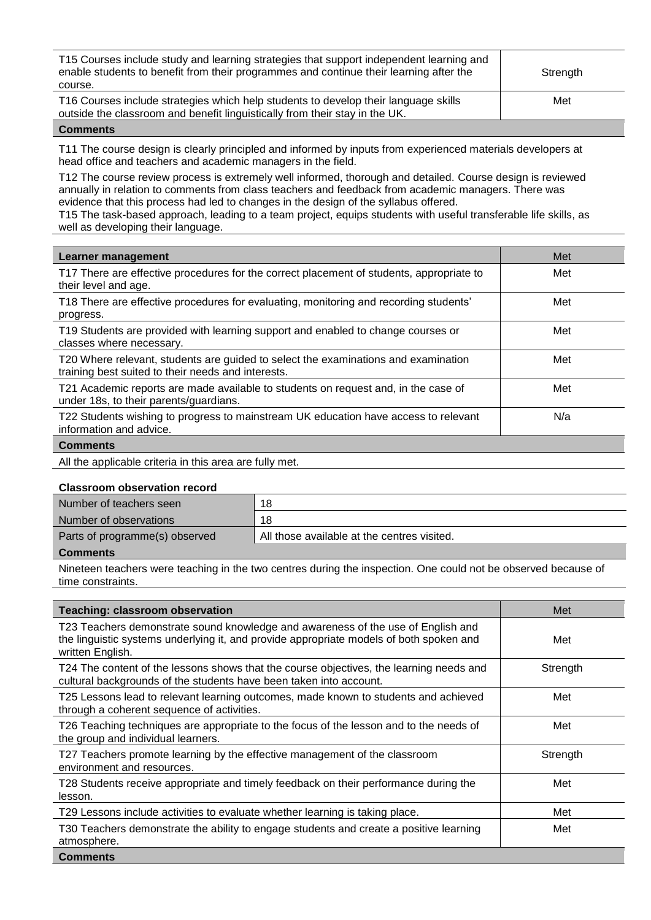| T15 Courses include study and learning strategies that support independent learning and<br>enable students to benefit from their programmes and continue their learning after the<br>course. | Strength |
|----------------------------------------------------------------------------------------------------------------------------------------------------------------------------------------------|----------|
| T16 Courses include strategies which help students to develop their language skills<br>outside the classroom and benefit linguistically from their stay in the UK.                           | Met      |

T11 The course design is clearly principled and informed by inputs from experienced materials developers at head office and teachers and academic managers in the field.

T12 The course review process is extremely well informed, thorough and detailed. Course design is reviewed annually in relation to comments from class teachers and feedback from academic managers. There was evidence that this process had led to changes in the design of the syllabus offered.

T15 The task-based approach, leading to a team project, equips students with useful transferable life skills, as well as developing their language.

| Learner management                                                                                                                       | Met |
|------------------------------------------------------------------------------------------------------------------------------------------|-----|
| T17 There are effective procedures for the correct placement of students, appropriate to<br>their level and age.                         | Met |
| T18 There are effective procedures for evaluating, monitoring and recording students'<br>progress.                                       | Met |
| T19 Students are provided with learning support and enabled to change courses or<br>classes where necessary.                             | Met |
| T20 Where relevant, students are guided to select the examinations and examination<br>training best suited to their needs and interests. | Met |
| T21 Academic reports are made available to students on request and, in the case of<br>under 18s, to their parents/guardians.             | Met |
| T22 Students wishing to progress to mainstream UK education have access to relevant<br>information and advice.                           | N/a |
| <b>Comments</b>                                                                                                                          |     |

```
All the applicable criteria in this area are fully met.
```
## **Classroom observation record**

| Number of teachers seen        | 18                                          |
|--------------------------------|---------------------------------------------|
| Number of observations         | 18                                          |
| Parts of programme(s) observed | All those available at the centres visited. |
|                                |                                             |

## **Comments**

Nineteen teachers were teaching in the two centres during the inspection. One could not be observed because of time constraints.

| <b>Teaching: classroom observation</b>                                                                                                                                                          | Met      |
|-------------------------------------------------------------------------------------------------------------------------------------------------------------------------------------------------|----------|
| T23 Teachers demonstrate sound knowledge and awareness of the use of English and<br>the linguistic systems underlying it, and provide appropriate models of both spoken and<br>written English. | Met      |
| T24 The content of the lessons shows that the course objectives, the learning needs and<br>cultural backgrounds of the students have been taken into account.                                   | Strength |
| T25 Lessons lead to relevant learning outcomes, made known to students and achieved<br>through a coherent sequence of activities.                                                               | Met      |
| T26 Teaching techniques are appropriate to the focus of the lesson and to the needs of<br>the group and individual learners.                                                                    | Met      |
| T27 Teachers promote learning by the effective management of the classroom<br>environment and resources.                                                                                        | Strength |
| T28 Students receive appropriate and timely feedback on their performance during the<br>lesson.                                                                                                 | Met      |
| T29 Lessons include activities to evaluate whether learning is taking place.                                                                                                                    | Met      |
| T30 Teachers demonstrate the ability to engage students and create a positive learning<br>atmosphere.                                                                                           | Met      |
| <b>Comments</b>                                                                                                                                                                                 |          |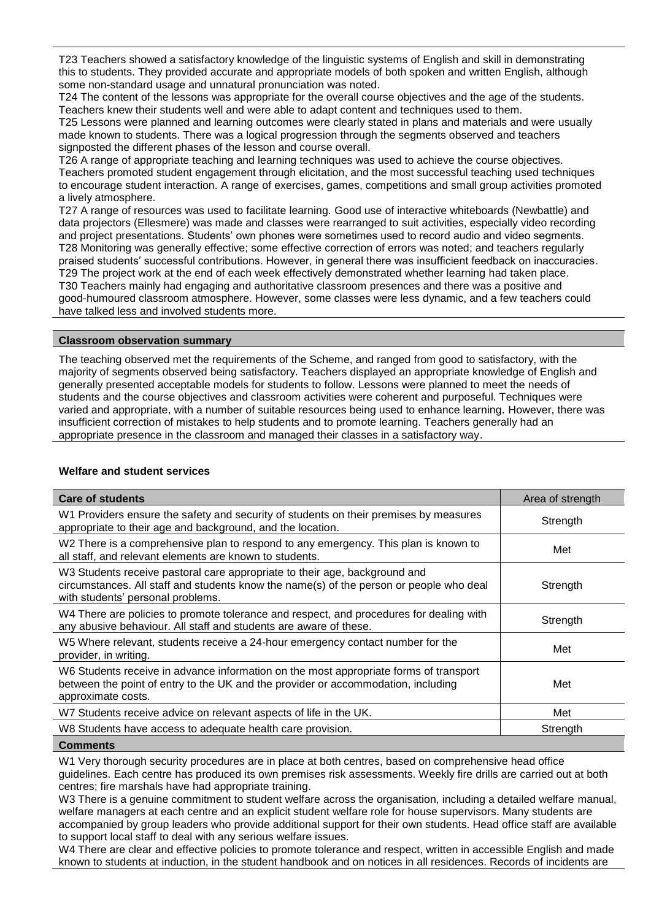T23 Teachers showed a satisfactory knowledge of the linguistic systems of English and skill in demonstrating this to students. They provided accurate and appropriate models of both spoken and written English, although some non-standard usage and unnatural pronunciation was noted.

T24 The content of the lessons was appropriate for the overall course objectives and the age of the students. Teachers knew their students well and were able to adapt content and techniques used to them.

T25 Lessons were planned and learning outcomes were clearly stated in plans and materials and were usually made known to students. There was a logical progression through the segments observed and teachers signposted the different phases of the lesson and course overall.

T26 A range of appropriate teaching and learning techniques was used to achieve the course objectives. Teachers promoted student engagement through elicitation, and the most successful teaching used techniques to encourage student interaction. A range of exercises, games, competitions and small group activities promoted a lively atmosphere.

T27 A range of resources was used to facilitate learning. Good use of interactive whiteboards (Newbattle) and data projectors (Ellesmere) was made and classes were rearranged to suit activities, especially video recording and project presentations. Students' own phones were sometimes used to record audio and video segments. T28 Monitoring was generally effective; some effective correction of errors was noted; and teachers regularly praised students' successful contributions. However, in general there was insufficient feedback on inaccuracies. T29 The project work at the end of each week effectively demonstrated whether learning had taken place. T30 Teachers mainly had engaging and authoritative classroom presences and there was a positive and good-humoured classroom atmosphere. However, some classes were less dynamic, and a few teachers could have talked less and involved students more.

## **Classroom observation summary**

The teaching observed met the requirements of the Scheme, and ranged from good to satisfactory, with the majority of segments observed being satisfactory. Teachers displayed an appropriate knowledge of English and generally presented acceptable models for students to follow. Lessons were planned to meet the needs of students and the course objectives and classroom activities were coherent and purposeful. Techniques were varied and appropriate, with a number of suitable resources being used to enhance learning. However, there was insufficient correction of mistakes to help students and to promote learning. Teachers generally had an appropriate presence in the classroom and managed their classes in a satisfactory way.

## **Welfare and student services**

| <b>Care of students</b>                                                                                                                                                                                    | Area of strength |
|------------------------------------------------------------------------------------------------------------------------------------------------------------------------------------------------------------|------------------|
| W1 Providers ensure the safety and security of students on their premises by measures<br>appropriate to their age and background, and the location.                                                        | Strength         |
| W2 There is a comprehensive plan to respond to any emergency. This plan is known to<br>all staff, and relevant elements are known to students.                                                             | Met              |
| W3 Students receive pastoral care appropriate to their age, background and<br>circumstances. All staff and students know the name(s) of the person or people who deal<br>with students' personal problems. | Strength         |
| W4 There are policies to promote tolerance and respect, and procedures for dealing with<br>any abusive behaviour. All staff and students are aware of these.                                               | Strength         |
| W5 Where relevant, students receive a 24-hour emergency contact number for the<br>provider, in writing.                                                                                                    | Met              |
| W6 Students receive in advance information on the most appropriate forms of transport<br>between the point of entry to the UK and the provider or accommodation, including<br>approximate costs.           | Met              |
| W7 Students receive advice on relevant aspects of life in the UK.                                                                                                                                          | Met              |
| W8 Students have access to adequate health care provision.                                                                                                                                                 | Strength         |
| $P = 1$                                                                                                                                                                                                    |                  |

## **Comments**

W1 Very thorough security procedures are in place at both centres, based on comprehensive head office guidelines. Each centre has produced its own premises risk assessments. Weekly fire drills are carried out at both centres; fire marshals have had appropriate training.

W3 There is a genuine commitment to student welfare across the organisation, including a detailed welfare manual, welfare managers at each centre and an explicit student welfare role for house supervisors. Many students are accompanied by group leaders who provide additional support for their own students. Head office staff are available to support local staff to deal with any serious welfare issues.

W4 There are clear and effective policies to promote tolerance and respect, written in accessible English and made known to students at induction, in the student handbook and on notices in all residences. Records of incidents are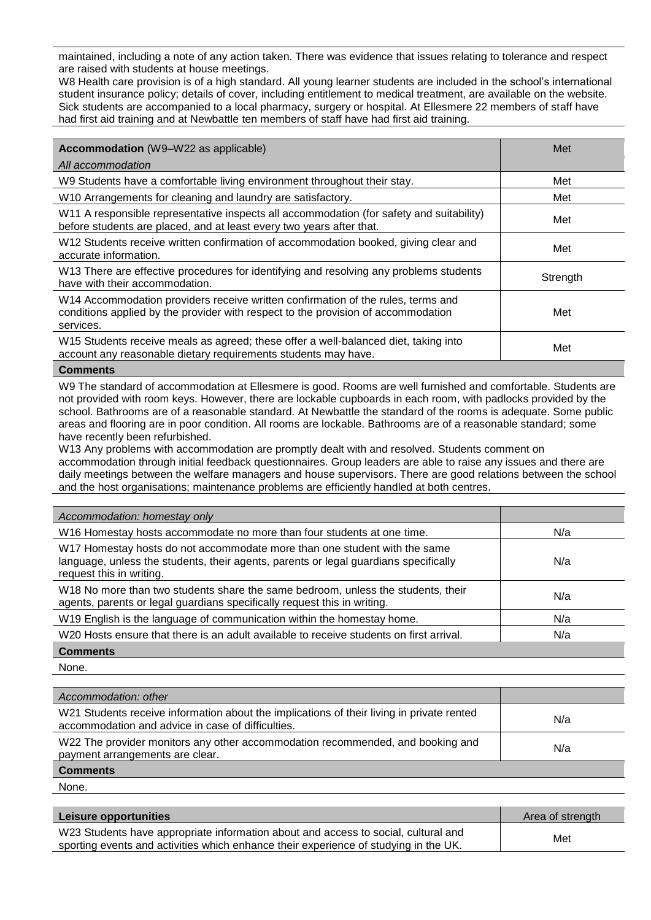maintained, including a note of any action taken. There was evidence that issues relating to tolerance and respect are raised with students at house meetings.

W8 Health care provision is of a high standard. All young learner students are included in the school's international student insurance policy; details of cover, including entitlement to medical treatment, are available on the website. Sick students are accompanied to a local pharmacy, surgery or hospital. At Ellesmere 22 members of staff have had first aid training and at Newbattle ten members of staff have had first aid training.

| <b>Accommodation</b> (W9-W22 as applicable)                                                                                                                                        | Met      |
|------------------------------------------------------------------------------------------------------------------------------------------------------------------------------------|----------|
| All accommodation                                                                                                                                                                  |          |
| W9 Students have a comfortable living environment throughout their stay.                                                                                                           | Met      |
| W10 Arrangements for cleaning and laundry are satisfactory.                                                                                                                        | Met      |
| W11 A responsible representative inspects all accommodation (for safety and suitability)<br>before students are placed, and at least every two years after that.                   | Met      |
| W12 Students receive written confirmation of accommodation booked, giving clear and<br>accurate information.                                                                       | Met      |
| W13 There are effective procedures for identifying and resolving any problems students<br>have with their accommodation.                                                           | Strength |
| W14 Accommodation providers receive written confirmation of the rules, terms and<br>conditions applied by the provider with respect to the provision of accommodation<br>services. | Met      |
| W15 Students receive meals as agreed; these offer a well-balanced diet, taking into<br>account any reasonable dietary requirements students may have.                              | Met      |
|                                                                                                                                                                                    |          |

#### **Comments**

W9 The standard of accommodation at Ellesmere is good. Rooms are well furnished and comfortable. Students are not provided with room keys. However, there are lockable cupboards in each room, with padlocks provided by the school. Bathrooms are of a reasonable standard. At Newbattle the standard of the rooms is adequate. Some public areas and flooring are in poor condition. All rooms are lockable. Bathrooms are of a reasonable standard; some have recently been refurbished.

W13 Any problems with accommodation are promptly dealt with and resolved. Students comment on accommodation through initial feedback questionnaires. Group leaders are able to raise any issues and there are daily meetings between the welfare managers and house supervisors. There are good relations between the school and the host organisations; maintenance problems are efficiently handled at both centres.

| Accommodation: homestay only                                                                                                                                                                  |     |
|-----------------------------------------------------------------------------------------------------------------------------------------------------------------------------------------------|-----|
| W16 Homestay hosts accommodate no more than four students at one time.                                                                                                                        | N/a |
| W17 Homestay hosts do not accommodate more than one student with the same<br>language, unless the students, their agents, parents or legal guardians specifically<br>request this in writing. | N/a |
| W18 No more than two students share the same bedroom, unless the students, their<br>agents, parents or legal guardians specifically request this in writing.                                  | N/a |
| W19 English is the language of communication within the homestay home.                                                                                                                        | N/a |
| W20 Hosts ensure that there is an adult available to receive students on first arrival.                                                                                                       | N/a |
| <b>Comments</b>                                                                                                                                                                               |     |

None.

| Accommodation: other                                                                                                                           |     |
|------------------------------------------------------------------------------------------------------------------------------------------------|-----|
| W21 Students receive information about the implications of their living in private rented<br>accommodation and advice in case of difficulties. | N/a |
| W22 The provider monitors any other accommodation recommended, and booking and<br>payment arrangements are clear.                              | N/a |
| <b>Comments</b>                                                                                                                                |     |

None.

| Leisure opportunities                                                                                                                                                      | Area of strength |
|----------------------------------------------------------------------------------------------------------------------------------------------------------------------------|------------------|
| W23 Students have appropriate information about and access to social, cultural and<br>sporting events and activities which enhance their experience of studying in the UK. | Met              |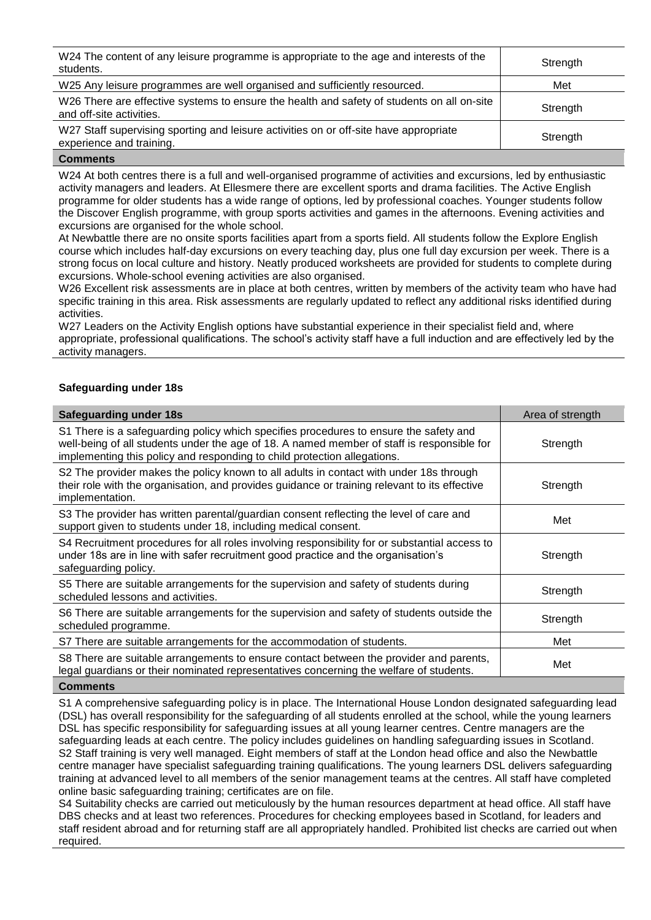| W24 The content of any leisure programme is appropriate to the age and interests of the<br>students.                   | Strength |
|------------------------------------------------------------------------------------------------------------------------|----------|
| W25 Any leisure programmes are well organised and sufficiently resourced.                                              | Met      |
| W26 There are effective systems to ensure the health and safety of students on all on-site<br>and off-site activities. | Strength |
| W27 Staff supervising sporting and leisure activities on or off-site have appropriate<br>experience and training.      | Strength |

W24 At both centres there is a full and well-organised programme of activities and excursions, led by enthusiastic activity managers and leaders. At Ellesmere there are excellent sports and drama facilities. The Active English programme for older students has a wide range of options, led by professional coaches. Younger students follow the Discover English programme, with group sports activities and games in the afternoons. Evening activities and excursions are organised for the whole school.

At Newbattle there are no onsite sports facilities apart from a sports field. All students follow the Explore English course which includes half-day excursions on every teaching day, plus one full day excursion per week. There is a strong focus on local culture and history. Neatly produced worksheets are provided for students to complete during excursions. Whole-school evening activities are also organised.

W26 Excellent risk assessments are in place at both centres, written by members of the activity team who have had specific training in this area. Risk assessments are regularly updated to reflect any additional risks identified during activities.

W27 Leaders on the Activity English options have substantial experience in their specialist field and, where appropriate, professional qualifications. The school's activity staff have a full induction and are effectively led by the activity managers.

## **Safeguarding under 18s**

| <b>Safeguarding under 18s</b>                                                                                                                                                                                                                                   | Area of strength |
|-----------------------------------------------------------------------------------------------------------------------------------------------------------------------------------------------------------------------------------------------------------------|------------------|
| S1 There is a safeguarding policy which specifies procedures to ensure the safety and<br>well-being of all students under the age of 18. A named member of staff is responsible for<br>implementing this policy and responding to child protection allegations. | Strength         |
| S2 The provider makes the policy known to all adults in contact with under 18s through<br>their role with the organisation, and provides guidance or training relevant to its effective<br>implementation.                                                      | Strength         |
| S3 The provider has written parental/guardian consent reflecting the level of care and<br>support given to students under 18, including medical consent.                                                                                                        | Met              |
| S4 Recruitment procedures for all roles involving responsibility for or substantial access to<br>under 18s are in line with safer recruitment good practice and the organisation's<br>safeguarding policy.                                                      | Strength         |
| S5 There are suitable arrangements for the supervision and safety of students during<br>scheduled lessons and activities.                                                                                                                                       | Strength         |
| S6 There are suitable arrangements for the supervision and safety of students outside the<br>scheduled programme.                                                                                                                                               | Strength         |
| S7 There are suitable arrangements for the accommodation of students.                                                                                                                                                                                           | Met              |
| S8 There are suitable arrangements to ensure contact between the provider and parents,<br>legal guardians or their nominated representatives concerning the welfare of students.                                                                                | Met              |
|                                                                                                                                                                                                                                                                 |                  |

## **Comments**

S1 A comprehensive safeguarding policy is in place. The International House London designated safeguarding lead (DSL) has overall responsibility for the safeguarding of all students enrolled at the school, while the young learners DSL has specific responsibility for safeguarding issues at all young learner centres. Centre managers are the safeguarding leads at each centre. The policy includes guidelines on handling safeguarding issues in Scotland. S2 Staff training is very well managed. Eight members of staff at the London head office and also the Newbattle centre manager have specialist safeguarding training qualifications. The young learners DSL delivers safeguarding training at advanced level to all members of the senior management teams at the centres. All staff have completed online basic safeguarding training; certificates are on file.

S4 Suitability checks are carried out meticulously by the human resources department at head office. All staff have DBS checks and at least two references. Procedures for checking employees based in Scotland, for leaders and staff resident abroad and for returning staff are all appropriately handled. Prohibited list checks are carried out when required.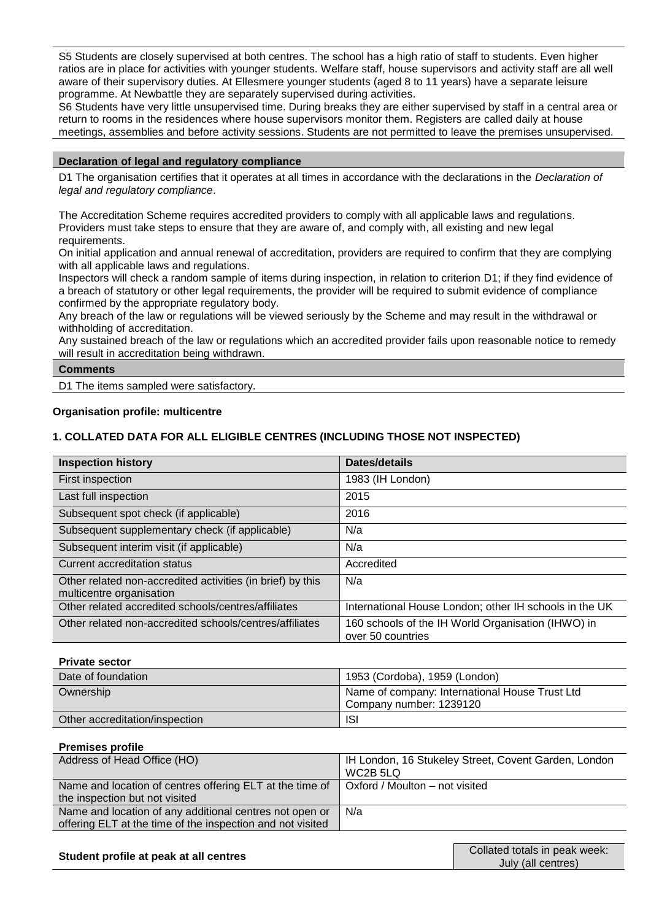S5 Students are closely supervised at both centres. The school has a high ratio of staff to students. Even higher ratios are in place for activities with younger students. Welfare staff, house supervisors and activity staff are all well aware of their supervisory duties. At Ellesmere younger students (aged 8 to 11 years) have a separate leisure programme. At Newbattle they are separately supervised during activities.

S6 Students have very little unsupervised time. During breaks they are either supervised by staff in a central area or return to rooms in the residences where house supervisors monitor them. Registers are called daily at house meetings, assemblies and before activity sessions. Students are not permitted to leave the premises unsupervised.

## **Declaration of legal and regulatory compliance**

D1 The organisation certifies that it operates at all times in accordance with the declarations in the *Declaration of legal and regulatory compliance*.

The Accreditation Scheme requires accredited providers to comply with all applicable laws and regulations. Providers must take steps to ensure that they are aware of, and comply with, all existing and new legal requirements.

On initial application and annual renewal of accreditation, providers are required to confirm that they are complying with all applicable laws and regulations.

Inspectors will check a random sample of items during inspection, in relation to criterion D1; if they find evidence of a breach of statutory or other legal requirements, the provider will be required to submit evidence of compliance confirmed by the appropriate regulatory body.

Any breach of the law or regulations will be viewed seriously by the Scheme and may result in the withdrawal or withholding of accreditation.

Any sustained breach of the law or regulations which an accredited provider fails upon reasonable notice to remedy will result in accreditation being withdrawn.

## **Comments**

D1 The items sampled were satisfactory.

## **Organisation profile: multicentre**

## **1. COLLATED DATA FOR ALL ELIGIBLE CENTRES (INCLUDING THOSE NOT INSPECTED)**

| <b>Inspection history</b>                                                              | Dates/details                                                           |
|----------------------------------------------------------------------------------------|-------------------------------------------------------------------------|
| First inspection                                                                       | 1983 (IH London)                                                        |
| Last full inspection                                                                   | 2015                                                                    |
| Subsequent spot check (if applicable)                                                  | 2016                                                                    |
| Subsequent supplementary check (if applicable)                                         | N/a                                                                     |
| Subsequent interim visit (if applicable)                                               | N/a                                                                     |
| Current accreditation status                                                           | Accredited                                                              |
| Other related non-accredited activities (in brief) by this<br>multicentre organisation | N/a                                                                     |
| Other related accredited schools/centres/affiliates                                    | International House London; other IH schools in the UK                  |
| Other related non-accredited schools/centres/affiliates                                | 160 schools of the IH World Organisation (IHWO) in<br>over 50 countries |

## **Private sector**

| Date of foundation             | 1953 (Cordoba), 1959 (London)                                             |
|--------------------------------|---------------------------------------------------------------------------|
| Ownership                      | Name of company: International House Trust Ltd<br>Company number: 1239120 |
| Other accreditation/inspection | <b>ISI</b>                                                                |

## **Premises profile**

| Address of Head Office (HO)                                                                                           | IH London, 16 Stukeley Street, Covent Garden, London<br>WC2B 5LQ |
|-----------------------------------------------------------------------------------------------------------------------|------------------------------------------------------------------|
| Name and location of centres offering ELT at the time of<br>the inspection but not visited                            | Oxford / Moulton – not visited                                   |
| Name and location of any additional centres not open or<br>offering ELT at the time of the inspection and not visited | N/a                                                              |

| Student profile at peak at all centres |
|----------------------------------------|
|----------------------------------------|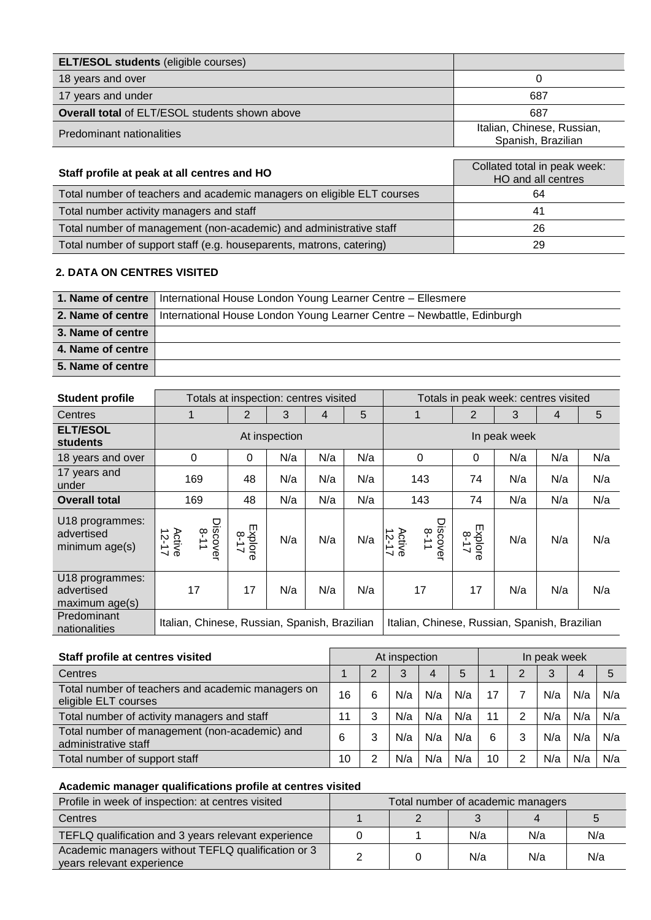| <b>ELT/ESOL students (eligible courses)</b>    |                                                  |
|------------------------------------------------|--------------------------------------------------|
| 18 years and over                              |                                                  |
| 17 years and under                             | 687                                              |
| Overall total of ELT/ESOL students shown above | 687                                              |
| Predominant nationalities                      | Italian, Chinese, Russian,<br>Spanish, Brazilian |

| Staff profile at peak at all centres and HO                            | Collated total in peak week:<br>HO and all centres |  |  |  |  |  |
|------------------------------------------------------------------------|----------------------------------------------------|--|--|--|--|--|
| Total number of teachers and academic managers on eligible ELT courses | 64                                                 |  |  |  |  |  |
| Total number activity managers and staff                               | 41                                                 |  |  |  |  |  |
| Total number of management (non-academic) and administrative staff     | 26                                                 |  |  |  |  |  |
| Total number of support staff (e.g. houseparents, matrons, catering)   | 29                                                 |  |  |  |  |  |

## **2. DATA ON CENTRES VISITED**

|                   | 1. Name of centre   International House London Young Learner Centre - Ellesmere            |
|-------------------|--------------------------------------------------------------------------------------------|
|                   | 2. Name of centre   International House London Young Learner Centre - Newbattle, Edinburgh |
| 3. Name of centre |                                                                                            |
| 4. Name of centre |                                                                                            |
| 5. Name of centre |                                                                                            |

| <b>Student profile</b>                          |                                               | Totals at inspection: centres visited<br>Totals in peak week: centres visited |               |     |     | 2<br>3<br>1<br>4<br>In peak week<br>N/a<br>0<br>0<br>74<br>N/a<br>143<br>143<br>74<br>N/a<br>Discovel<br>8-11<br>Explore<br>Active<br>12-17<br>$\overline{5}$<br>N/a<br>17<br>17<br>N/a |  |     |     |
|-------------------------------------------------|-----------------------------------------------|-------------------------------------------------------------------------------|---------------|-----|-----|-----------------------------------------------------------------------------------------------------------------------------------------------------------------------------------------|--|-----|-----|
| Centres                                         |                                               | 2                                                                             | 3             | 4   | 5   |                                                                                                                                                                                         |  |     | 5   |
| <b>ELT/ESOL</b><br><b>students</b>              |                                               |                                                                               | At inspection |     |     |                                                                                                                                                                                         |  |     |     |
| 18 years and over                               | 0                                             | $\Omega$                                                                      | N/a           | N/a | N/a |                                                                                                                                                                                         |  | N/a | N/a |
| 17 years and<br>under                           | 169                                           | 48                                                                            | N/a           | N/a | N/a |                                                                                                                                                                                         |  | N/a | N/a |
| <b>Overall total</b>                            | 169                                           | 48                                                                            | N/a           | N/a | N/a |                                                                                                                                                                                         |  | N/a | N/a |
| U18 programmes:<br>advertised<br>minimum age(s) | Discover<br>8-11<br>Active<br>12-17           | Explore<br>$\sigma$                                                           | N/a           | N/a | N/a |                                                                                                                                                                                         |  | N/a | N/a |
| U18 programmes:<br>advertised<br>maximum age(s) | 17                                            | 17                                                                            | N/a           | N/a | N/a |                                                                                                                                                                                         |  | N/a | N/a |
| Predominant<br>nationalities                    | Italian, Chinese, Russian, Spanish, Brazilian |                                                                               |               |     |     | Italian, Chinese, Russian, Spanish, Brazilian                                                                                                                                           |  |     |     |

| Staff profile at centres visited                                          | At inspection<br>In peak week |   |     |     |     |    |   |     |     |     |
|---------------------------------------------------------------------------|-------------------------------|---|-----|-----|-----|----|---|-----|-----|-----|
| Centres                                                                   |                               | າ | 3   | 4   | 5   |    | ⌒ | 3   | 4   | 5   |
| Total number of teachers and academic managers on<br>eligible ELT courses | 16                            | 6 | N/a | N/a | N/a | 17 |   | N/a | N/a | N/a |
| Total number of activity managers and staff                               | 11                            | 3 | N/a | N/a | N/a | 11 | າ | N/a | N/a | N/a |
| Total number of management (non-academic) and<br>administrative staff     | 6                             | 3 | N/a | N/a | N/a | 6  | 3 | N/a | N/a | N/a |
| Total number of support staff                                             | 10                            | ◠ | N/a | N/a | N/a | 10 | っ | N/a | N/a | N/a |

# **Academic manager qualifications profile at centres visited**

| Profile in week of inspection: at centres visited                               | Total number of academic managers |  |     |     |     |
|---------------------------------------------------------------------------------|-----------------------------------|--|-----|-----|-----|
| Centres                                                                         |                                   |  |     |     |     |
| TEFLQ qualification and 3 years relevant experience                             |                                   |  | N/a | N/a | N/a |
| Academic managers without TEFLQ qualification or 3<br>years relevant experience |                                   |  | N/a | N/a | N/a |